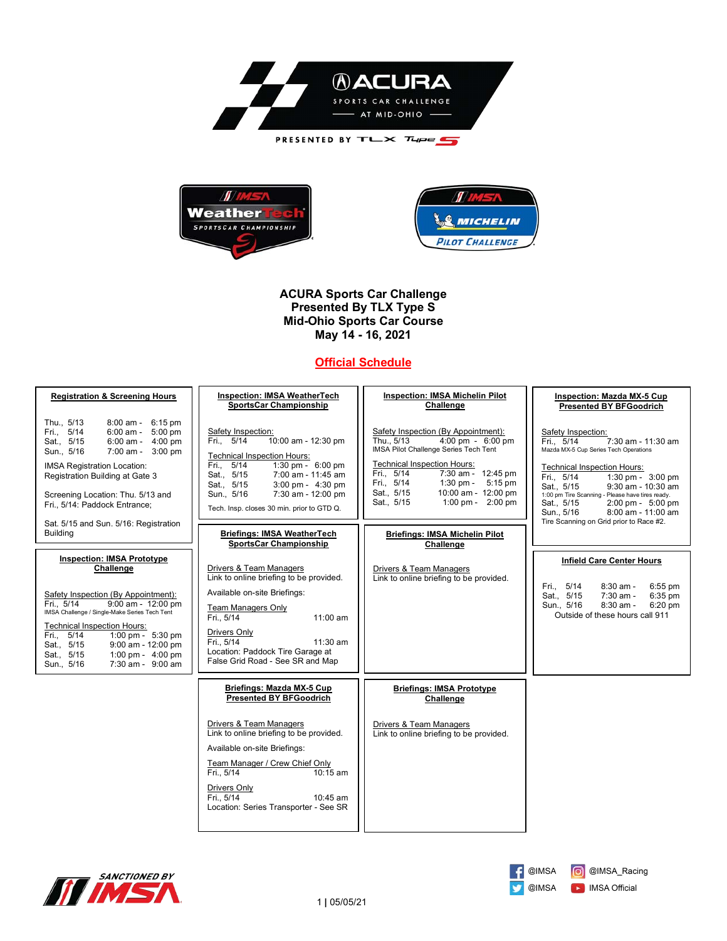



**ACURA Sports Car Challenge Presented By TLX Type S Mid-Ohio Sports Car Course May 14 - 16, 2021**

# **Official Schedule**

| <b>Registration &amp; Screening Hours</b>                                                                                                                                                                                                                                                                                                                             | <b>Inspection: IMSA WeatherTech</b><br><b>SportsCar Championship</b>                                                                                                                                                                                                                       | <b>Inspection: IMSA Michelin Pilot</b><br>Challenge                                                                                                                                                                                                                                                                          | Inspection: Mazda MX-5 Cup<br><b>Presented BY BFGoodrich</b>                                                                                                                                                                                                                                                                                                                      |  |
|-----------------------------------------------------------------------------------------------------------------------------------------------------------------------------------------------------------------------------------------------------------------------------------------------------------------------------------------------------------------------|--------------------------------------------------------------------------------------------------------------------------------------------------------------------------------------------------------------------------------------------------------------------------------------------|------------------------------------------------------------------------------------------------------------------------------------------------------------------------------------------------------------------------------------------------------------------------------------------------------------------------------|-----------------------------------------------------------------------------------------------------------------------------------------------------------------------------------------------------------------------------------------------------------------------------------------------------------------------------------------------------------------------------------|--|
| Thu., 5/13<br>8:00 am - 6:15 pm<br>Fri., 5/14<br>$6:00$ am - $5:00$ pm<br>6:00 am - 4:00 pm<br>Sat., 5/15<br>7:00 am - 3:00 pm<br>Sun., 5/16<br><b>IMSA Registration Location:</b><br>Registration Building at Gate 3<br>Screening Location: Thu. 5/13 and<br>Fri., 5/14: Paddock Entrance;<br>Sat. 5/15 and Sun. 5/16: Registration                                  | Safety Inspection:<br>Fri. 5/14<br>10:00 am - 12:30 pm<br><b>Technical Inspection Hours:</b><br>Fri., 5/14<br>1:30 pm - $6:00$ pm<br>Sat., 5/15<br>7:00 am - 11:45 am<br>Sat., 5/15<br>3:00 pm - 4:30 pm<br>Sun., 5/16<br>7:30 am - 12:00 pm<br>Tech. Insp. closes 30 min. prior to GTD Q. | Safety Inspection (By Appointment):<br>$4:00 \text{ pm} - 6:00 \text{ pm}$<br>Thu., 5/13<br>IMSA Pilot Challenge Series Tech Tent<br><b>Technical Inspection Hours:</b><br>$7:30$ am - 12:45 pm<br>Fri., 5/14<br>1:30 pm - $5:15$ pm<br>Fri., 5/14<br>Sat., 5/15<br>10:00 am - 12:00 pm<br>Sat., 5/15<br>1:00 pm - $2:00$ pm | Safety Inspection:<br>Fri. 5/14<br>7:30 am - 11:30 am<br>Mazda MX-5 Cup Series Tech Operations<br><b>Technical Inspection Hours:</b><br>Fri., 5/14<br>1:30 pm - 3:00 pm<br>Sat., 5/15<br>9:30 am - 10:30 am<br>1:00 pm Tire Scanning - Please have tires ready.<br>Sat., 5/15<br>2:00 pm - 5:00 pm<br>8:00 am - 11:00 am<br>Sun., 5/16<br>Tire Scanning on Grid prior to Race #2. |  |
| <b>Building</b>                                                                                                                                                                                                                                                                                                                                                       | <b>Briefings: IMSA WeatherTech</b><br><b>SportsCar Championship</b>                                                                                                                                                                                                                        | <b>Briefings: IMSA Michelin Pilot</b><br>Challenge                                                                                                                                                                                                                                                                           |                                                                                                                                                                                                                                                                                                                                                                                   |  |
| <b>Inspection: IMSA Prototype</b><br>Challenge<br>Safety Inspection (By Appointment):<br>Fri., 5/14<br>$9:00$ am - $12:00$ pm<br>IMSA Challenge / Single-Make Series Tech Tent<br><b>Technical Inspection Hours:</b><br>Fri., 5/14<br>1:00 pm - $5:30$ pm<br>9:00 am - 12:00 pm<br>Sat., 5/15<br>1:00 pm - $4:00$ pm<br>Sat., 5/15<br>7:30 am - 9:00 am<br>Sun., 5/16 | Drivers & Team Managers<br>Link to online briefing to be provided.<br>Available on-site Briefings:<br>Team Managers Only<br>Fri., 5/14<br>$11:00$ am<br>Drivers Only<br>Fri., 5/14<br>11:30 am<br>Location: Paddock Tire Garage at<br>False Grid Road - See SR and Map                     | Drivers & Team Managers<br>Link to online briefing to be provided.                                                                                                                                                                                                                                                           | <b>Infield Care Center Hours</b><br>Fri., 5/14<br>$8:30$ am -<br>6:55 pm<br>Sat., 5/15<br>$7:30$ am -<br>6:35 pm<br>8:30 am -<br>Sun., 5/16<br>6:20 pm<br>Outside of these hours call 911                                                                                                                                                                                         |  |
|                                                                                                                                                                                                                                                                                                                                                                       | Briefings: Mazda MX-5 Cup<br><b>Presented BY BFGoodrich</b>                                                                                                                                                                                                                                | <b>Briefings: IMSA Prototype</b><br>Challenge                                                                                                                                                                                                                                                                                |                                                                                                                                                                                                                                                                                                                                                                                   |  |
|                                                                                                                                                                                                                                                                                                                                                                       | Drivers & Team Managers<br>Link to online briefing to be provided.<br>Available on-site Briefings:<br>Team Manager / Crew Chief Only<br>Fri., 5/14<br>$10:15$ am<br>Drivers Only<br>Fri., 5/14<br>$10:45$ am<br>Location: Series Transporter - See SR                                      | Drivers & Team Managers<br>Link to online briefing to be provided.                                                                                                                                                                                                                                                           |                                                                                                                                                                                                                                                                                                                                                                                   |  |



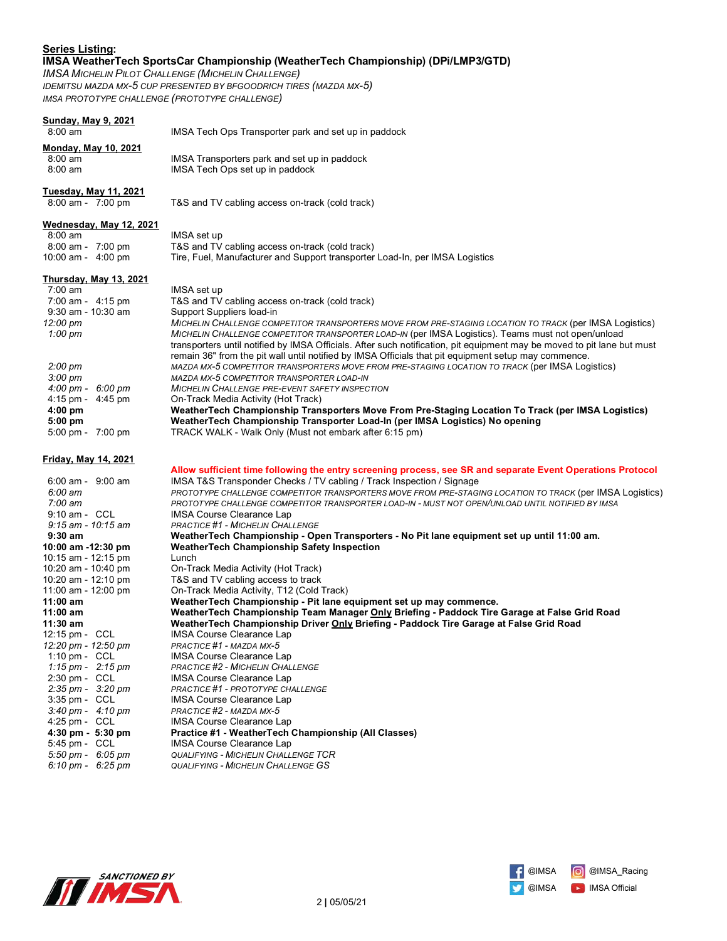### **Series Listing: IMSA WeatherTech SportsCar Championship (WeatherTech Championship) (DPi/LMP3/GTD)**

*IMSA MICHELIN PILOT CHALLENGE (MICHELIN CHALLENGE) IDEMITSU MAZDA MX-5 CUP PRESENTED BY BFGOODRICH TIRES (MAZDA MX-5) IMSA PROTOTYPE CHALLENGE (PROTOTYPE CHALLENGE)*

## **Sunday, May 9, 2021**

 8:00 am IMSA Tech Ops Transporter park and set up in paddock **Monday, May 10, 2021** 8:00 am IMSA Transporters park and set up in paddock<br>8:00 am IMSA Tech Ops set up in paddock IMSA Tech Ops set up in paddock **Tuesday, May 11, 2021** 8:00 am - 7:00 pm T&S and TV cabling access on-track (cold track) **Wednesday, May 12, 2021** 8:00 am IMSA set up 8:00 am - 7:00 pm T&S and TV cabling access on-track (cold track)<br>10:00 am - 4:00 pm Tire, Fuel, Manufacturer and Support transporter Tire, Fuel, Manufacturer and Support transporter Load-In, per IMSA Logistics **Thursday, May 13, 2021** 7:00 am IMSA set up<br>7:00 am - 4:15 pm T&S and TV 7:00 am - 4:15 pm T&S and TV cabling access on-track (cold track) Support Suppliers load-in *12:00 pm MICHELIN CHALLENGE COMPETITOR TRANSPORTERS MOVE FROM PRE-STAGING LOCATION TO TRACK* (per IMSA Logistics)  *1:00 pm MICHELIN CHALLENGE COMPETITOR TRANSPORTER LOAD-IN* (per IMSA Logistics). Teams must not open/unload transporters until notified by IMSA Officials. After such notification, pit equipment may be moved to pit lane but must remain 36" from the pit wall until notified by IMSA Officials that pit equipment setup may commence.  *2:00 pm MAZDA MX-5 COMPETITOR TRANSPORTERS MOVE FROM PRE-STAGING LOCATION TO TRACK* (per IMSA Logistics)  *3:00 pm MAZDA MX-5 COMPETITOR TRANSPORTER LOAD-IN 4:00 pm - 6:00 pm MICHELIN CHALLENGE PRE-EVENT SAFETY INSPECTION* 4:15 pm - 4:45 pm On-Track Media Activity (Hot Track)<br>4:00 pm **WeatherTech Championship Tran 4:00 pm WeatherTech Championship Transporters Move From Pre-Staging Location To Track (per IMSA Logistics) 5:00 pm WeatherTech Championship Transporter Load-In (per IMSA Logistics) No opening** 5:00 pm - 7:00 pm TRACK WALK - Walk Only (Must not embark after 6:15 pm) **Friday, May 14, 2021 Allow sufficient time following the entry screening process, see SR and separate Event Operations Protocol** 6:00 am - 9:00 am IMSA T&S Transponder Checks / TV cabling / Track Inspection / Signage<br>6:00 am **IMSA TAS TRACILENGE COMPETITOR TRANSPORTERS MOVE FROM PRE-STAG**  *6:00 am PROTOTYPE CHALLENGE COMPETITOR TRANSPORTERS MOVE FROM PRE-STAGING LOCATION TO TRACK* (per IMSA Logistics)  *7:00 am PROTOTYPE CHALLENGE COMPETITOR TRANSPORTER LOAD-IN - MUST NOT OPEN/UNLOAD UNTIL NOTIFIED BY IMSA* 9:10 am - CCL IMSA Course Clearance Lap<br>9:15 am - 10:15 am PRACTICE #1 - MICHELIN CHAL  *9:15 am - 10:15 am PRACTICE #1 - MICHELIN CHALLENGE*  **9:30 am WeatherTech Championship - Open Transporters - No Pit lane equipment set up until 11:00 am. 10:00 am -12:30 pm WeatherTech Championship Safety Inspection**  10:15 am - 12:15 pm Lunch<br>10:20 am - 10:40 pm Cn-Tra On-Track Media Activity (Hot Track) 10:20 am - 12:10 pm T&S and TV cabling access to track On-Track Media Activity, T12 (Cold Track) **11:00 am WeatherTech Championship - Pit lane equipment set up may commence. 11:00 am WeatherTech Championship Team Manager Only Briefing - Paddock Tire Garage at False Grid Road 11:30 am WeatherTech Championship Driver Only Briefing - Paddock Tire Garage at False Grid Road** 12:15 pm - CCL IMSA Course Clearance Lap *12:20 pm - 12:50 pm PRACTICE #1 - MAZDA MX-5* IMSA Course Clearance Lap  *1:15 pm - 2:15 pm PRACTICE #2 - MICHELIN CHALLENGE* IMSA Course Clearance Lap  *2:35 pm - 3:20 pm PRACTICE #1 - PROTOTYPE CHALLENGE* IMSA Course Clearance Lap  *3:40 pm - 4:10 pm PRACTICE #2 - MAZDA MX-5* 4:25 pm - CCL IMSA Course Clearance Lap  **4:30 pm - 5:30 pm Practice #1 - WeatherTech Championship (All Classes)**





IMSA Course Clearance Lap

 *5:50 pm - 6:05 pm QUALIFYING - MICHELIN CHALLENGE TCR 6:10 pm - 6:25 pm QUALIFYING - MICHELIN CHALLENGE GS*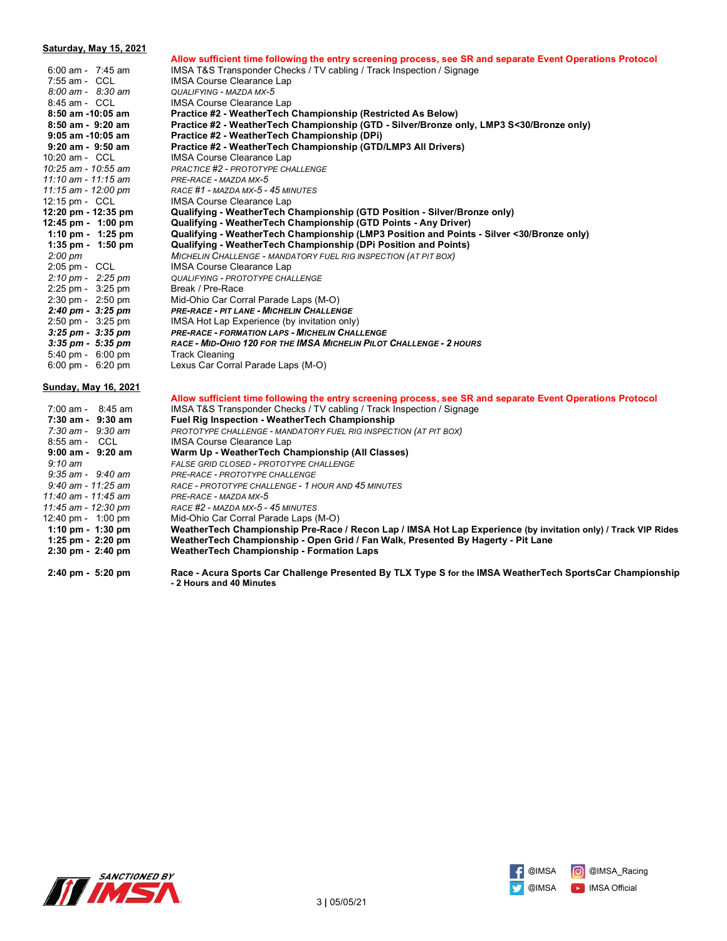| Saturday, May 15, 2021              |                                                                                                                                       |
|-------------------------------------|---------------------------------------------------------------------------------------------------------------------------------------|
|                                     | Allow sufficient time following the entry screening process, see SR and separate Event Operations Protocol                            |
| $6:00$ am - 7:45 am                 | IMSA T&S Transponder Checks / TV cabling / Track Inspection / Signage                                                                 |
| 7:55 am - CCL                       | <b>IMSA Course Clearance Lap</b>                                                                                                      |
| 8:00 am - 8:30 am                   | QUALIFYING - MAZDA MX-5                                                                                                               |
| 8:45 am - CCL                       | <b>IMSA Course Clearance Lap</b>                                                                                                      |
| 8:50 am -10:05 am                   | Practice #2 - WeatherTech Championship (Restricted As Below)                                                                          |
| 8:50 am - 9:20 am                   | Practice #2 - WeatherTech Championship (GTD - Silver/Bronze only, LMP3 S<30/Bronze only)                                              |
| $9:05$ am -10:05 am                 | Practice #2 - WeatherTech Championship (DPi)                                                                                          |
| $9:20$ am - $9:50$ am               | Practice #2 - WeatherTech Championship (GTD/LMP3 All Drivers)                                                                         |
| 10:20 am - CCL                      | <b>IMSA Course Clearance Lap</b>                                                                                                      |
| 10:25 am - 10:55 am                 | PRACTICE #2 - PROTOTYPE CHALLENGE                                                                                                     |
| 11:10 am - 11:15 am                 | PRE-RACE - MAZDA MX-5                                                                                                                 |
| 11:15 am - 12:00 pm                 | RACE #1 - MAZDA MX-5 - 45 MINUTES                                                                                                     |
| 12:15 pm - CCL                      | <b>IMSA Course Clearance Lap</b>                                                                                                      |
| 12:20 pm - 12:35 pm                 | Qualifying - WeatherTech Championship (GTD Position - Silver/Bronze only)                                                             |
| 12:45 pm - 1:00 pm                  | Qualifying - WeatherTech Championship (GTD Points - Any Driver)                                                                       |
| 1:10 pm - $1:25$ pm                 | Qualifying - WeatherTech Championship (LMP3 Position and Points - Silver <30/Bronze only)                                             |
| 1:35 pm - $1:50$ pm                 | Qualifying - WeatherTech Championship (DPi Position and Points)                                                                       |
| $2:00 \text{ pm}$                   | MICHELIN CHALLENGE - MANDATORY FUEL RIG INSPECTION (AT PIT BOX)                                                                       |
| 2:05 pm - CCL                       | <b>IMSA Course Clearance Lap</b>                                                                                                      |
| $2:10 \text{ pm} - 2:25 \text{ pm}$ | <b>QUALIFYING - PROTOTYPE CHALLENGE</b>                                                                                               |
| 2:25 pm - 3:25 pm                   | Break / Pre-Race                                                                                                                      |
| $2:30 \text{ pm} - 2:50 \text{ pm}$ | Mid-Ohio Car Corral Parade Laps (M-O)                                                                                                 |
| $2:40 \text{ pm} - 3:25 \text{ pm}$ | PRE-RACE - PIT LANE - MICHELIN CHALLENGE                                                                                              |
| $2:50 \text{ pm} - 3:25 \text{ pm}$ | IMSA Hot Lap Experience (by invitation only)                                                                                          |
| $3:25$ pm - $3:35$ pm               | PRE-RACE - FORMATION LAPS - MICHELIN CHALLENGE                                                                                        |
| $3:35$ pm - $5:35$ pm               | RACE - MID-OHIO 120 FOR THE IMSA MICHELIN PILOT CHALLENGE - 2 HOURS                                                                   |
| $5:40 \text{ pm} - 6:00 \text{ pm}$ | <b>Track Cleaning</b>                                                                                                                 |
| $6:00 \text{ pm} - 6:20 \text{ pm}$ | Lexus Car Corral Parade Laps (M-O)                                                                                                    |
| <u>Sunday, May 16, 2021</u>         |                                                                                                                                       |
|                                     | Allow sufficient time following the entry screening process, see SR and separate Event Operations Protocol                            |
| $7:00$ am - $8:45$ am               | IMSA T&S Transponder Checks / TV cabling / Track Inspection / Signage                                                                 |
| $7:30$ am - $9:30$ am               | <b>Fuel Rig Inspection - WeatherTech Championship</b>                                                                                 |
| $7:30$ am - $9:30$ am               | PROTOTYPE CHALLENGE - MANDATORY FUEL RIG INSPECTION (AT PIT BOX)                                                                      |
| 8:55 am - CCL                       | IMSA Course Clearance Lap                                                                                                             |
| $9:00$ am - $9:20$ am               | Warm Up - WeatherTech Championship (All Classes)                                                                                      |
| $9:10 \text{ am}$                   | FALSE GRID CLOSED - PROTOTYPE CHALLENGE                                                                                               |
| 9:35 am - 9:40 am                   | PRE-RACE - PROTOTYPE CHALLENGE                                                                                                        |
| $9:40$ am - 11:25 am                | RACE - PROTOTYPE CHALLENGE - 1 HOUR AND 45 MINUTES                                                                                    |
| 11:40 am - 11:45 am                 | PRE-RACE - MAZDA MX-5                                                                                                                 |
| 11:45 am - 12:30 pm                 | RACE #2 - MAZDA MX-5 - 45 MINUTES                                                                                                     |
| 12:40 pm - 1:00 pm                  | Mid-Ohio Car Corral Parade Laps (M-O)                                                                                                 |
| 1:10 pm - 1:30 pm                   | WeatherTech Championship Pre-Race / Recon Lap / IMSA Hot Lap Experience (by invitation only) / Track VIP Rides                        |
| 1:25 pm - 2:20 pm                   | WeatherTech Championship - Open Grid / Fan Walk, Presented By Hagerty - Pit Lane                                                      |
| 2:30 pm - 2:40 pm                   | WeatherTech Championship - Formation Laps                                                                                             |
| 2:40 pm - 5:20 pm                   | Race - Acura Sports Car Challenge Presented By TLX Type S for the IMSA WeatherTech SportsCar Championship<br>- 2 Hours and 40 Minutes |



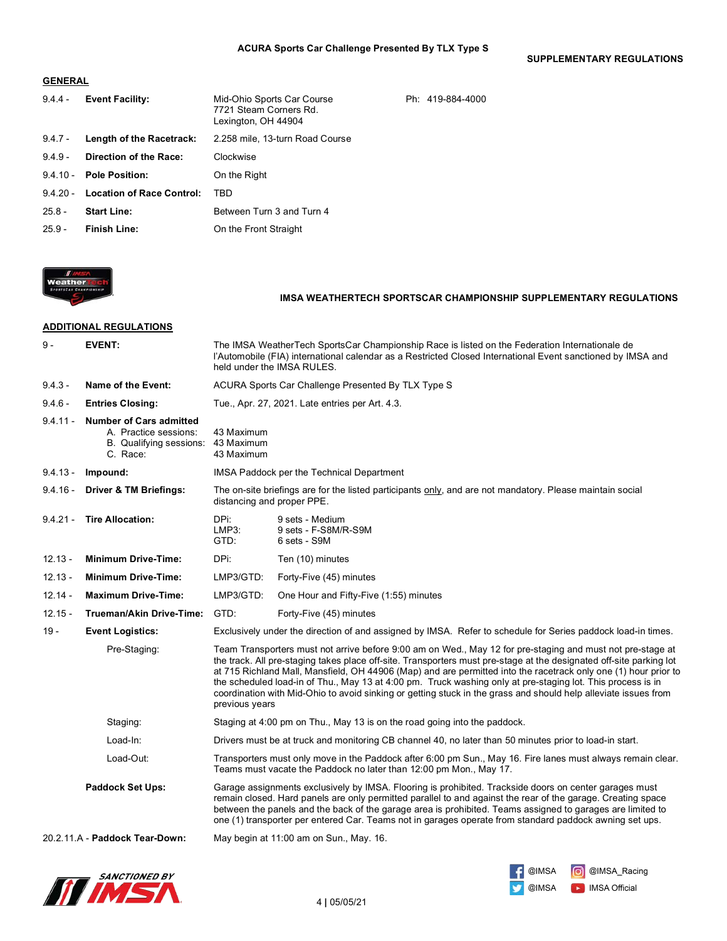**SUPPLEMENTARY REGULATIONS**

### **GENERAL**

| $9.4.4 -$  | <b>Event Facility:</b>             | Mid-Ohio Sports Car Course<br>7721 Steam Corners Rd.<br>Lexington, OH 44904 | Ph: 419-884-4000 |
|------------|------------------------------------|-----------------------------------------------------------------------------|------------------|
| $9.4.7 -$  | Length of the Racetrack:           | 2.258 mile, 13-turn Road Course                                             |                  |
| $9.4.9 -$  | Direction of the Race:             | Clockwise                                                                   |                  |
| $9.4.10 -$ | <b>Pole Position:</b>              | On the Right                                                                |                  |
|            | 9.4.20 - Location of Race Control: | TRD                                                                         |                  |
| $25.8 -$   | <b>Start Line:</b>                 | Between Turn 3 and Turn 4                                                   |                  |
| $25.9 -$   | <b>Finish Line:</b>                | On the Front Straight                                                       |                  |



### **IMSA WEATHERTECH SPORTSCAR CHAMPIONSHIP SUPPLEMENTARY REGULATIONS**

### **ADDITIONAL REGULATIONS**

| $9 -$      | <b>EVENT:</b>                                                                                  |                                        | The IMSA WeatherTech SportsCar Championship Race is listed on the Federation Internationale de<br>l'Automobile (FIA) international calendar as a Restricted Closed International Event sanctioned by IMSA and<br>held under the IMSA RULES.                                                                                                                                                                                                                                                                                                                                            |
|------------|------------------------------------------------------------------------------------------------|----------------------------------------|----------------------------------------------------------------------------------------------------------------------------------------------------------------------------------------------------------------------------------------------------------------------------------------------------------------------------------------------------------------------------------------------------------------------------------------------------------------------------------------------------------------------------------------------------------------------------------------|
| $9.4.3 -$  | Name of the Event:                                                                             |                                        | ACURA Sports Car Challenge Presented By TLX Type S                                                                                                                                                                                                                                                                                                                                                                                                                                                                                                                                     |
| $9.4.6 -$  | <b>Entries Closing:</b>                                                                        |                                        | Tue., Apr. 27, 2021. Late entries per Art. 4.3.                                                                                                                                                                                                                                                                                                                                                                                                                                                                                                                                        |
| $9.4.11 -$ | <b>Number of Cars admitted</b><br>A. Practice sessions:<br>B. Qualifying sessions:<br>C. Race: | 43 Maximum<br>43 Maximum<br>43 Maximum |                                                                                                                                                                                                                                                                                                                                                                                                                                                                                                                                                                                        |
| $9.4.13 -$ | Impound:                                                                                       |                                        | IMSA Paddock per the Technical Department                                                                                                                                                                                                                                                                                                                                                                                                                                                                                                                                              |
| $9.4.16 -$ | <b>Driver &amp; TM Briefings:</b>                                                              | distancing and proper PPE.             | The on-site briefings are for the listed participants only, and are not mandatory. Please maintain social                                                                                                                                                                                                                                                                                                                                                                                                                                                                              |
| $9.4.21 -$ | <b>Tire Allocation:</b>                                                                        | DPi:<br>LMP3:<br>GTD:                  | 9 sets - Medium<br>9 sets - F-S8M/R-S9M<br>6 sets - S9M                                                                                                                                                                                                                                                                                                                                                                                                                                                                                                                                |
| $12.13 -$  | <b>Minimum Drive-Time:</b>                                                                     | DPi:                                   | Ten (10) minutes                                                                                                                                                                                                                                                                                                                                                                                                                                                                                                                                                                       |
| $12.13 -$  | <b>Minimum Drive-Time:</b>                                                                     | LMP3/GTD:                              | Forty-Five (45) minutes                                                                                                                                                                                                                                                                                                                                                                                                                                                                                                                                                                |
| $12.14 -$  | <b>Maximum Drive-Time:</b>                                                                     | LMP3/GTD:                              | One Hour and Fifty-Five (1:55) minutes                                                                                                                                                                                                                                                                                                                                                                                                                                                                                                                                                 |
| $12.15 -$  | Trueman/Akin Drive-Time:                                                                       | GTD:                                   | Forty-Five (45) minutes                                                                                                                                                                                                                                                                                                                                                                                                                                                                                                                                                                |
| $19 -$     | <b>Event Logistics:</b>                                                                        |                                        | Exclusively under the direction of and assigned by IMSA. Refer to schedule for Series paddock load-in times.                                                                                                                                                                                                                                                                                                                                                                                                                                                                           |
|            | Pre-Staging:                                                                                   | previous years                         | Team Transporters must not arrive before 9:00 am on Wed., May 12 for pre-staging and must not pre-stage at<br>the track. All pre-staging takes place off-site. Transporters must pre-stage at the designated off-site parking lot<br>at 715 Richland Mall, Mansfield, OH 44906 (Map) and are permitted into the racetrack only one (1) hour prior to<br>the scheduled load-in of Thu., May 13 at 4:00 pm. Truck washing only at pre-staging lot. This process is in<br>coordination with Mid-Ohio to avoid sinking or getting stuck in the grass and should help alleviate issues from |
|            | Staging:                                                                                       |                                        | Staging at 4:00 pm on Thu., May 13 is on the road going into the paddock.                                                                                                                                                                                                                                                                                                                                                                                                                                                                                                              |
|            | Load-In:                                                                                       |                                        | Drivers must be at truck and monitoring CB channel 40, no later than 50 minutes prior to load-in start.                                                                                                                                                                                                                                                                                                                                                                                                                                                                                |
|            | Load-Out:                                                                                      |                                        | Transporters must only move in the Paddock after 6:00 pm Sun., May 16. Fire lanes must always remain clear.<br>Teams must vacate the Paddock no later than 12:00 pm Mon., May 17.                                                                                                                                                                                                                                                                                                                                                                                                      |
|            | Paddock Set Ups:                                                                               |                                        | Garage assignments exclusively by IMSA. Flooring is prohibited. Trackside doors on center garages must<br>remain closed. Hard panels are only permitted parallel to and against the rear of the garage. Creating space<br>between the panels and the back of the garage area is prohibited. Teams assigned to garages are limited to<br>one (1) transporter per entered Car. Teams not in garages operate from standard paddock awning set ups.                                                                                                                                        |
|            | 20.2.11.A - Paddock Tear-Down:                                                                 |                                        | May begin at 11:00 am on Sun., May. 16.                                                                                                                                                                                                                                                                                                                                                                                                                                                                                                                                                |



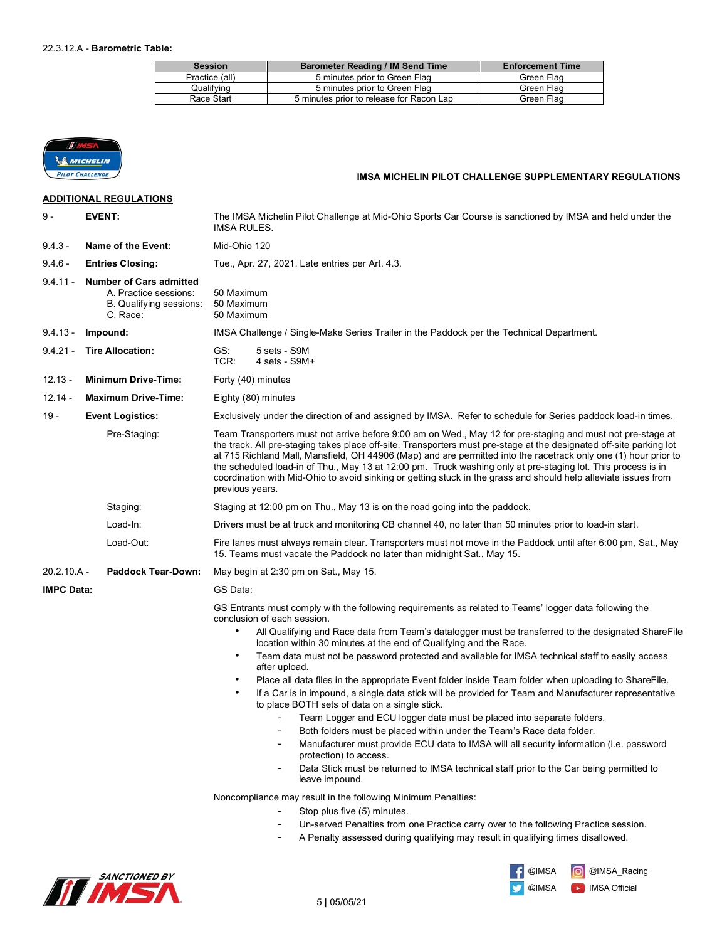| <b>Session</b> | <b>Barometer Reading / IM Send Time</b>  | <b>Enforcement Time</b> |
|----------------|------------------------------------------|-------------------------|
| Practice (all) | 5 minutes prior to Green Flag            | Green Flag              |
| Qualifving     | 5 minutes prior to Green Flag            | Green Flag              |
| Race Start     | 5 minutes prior to release for Recon Lap | Green Flag              |



## **IMSA MICHELIN PILOT CHALLENGE SUPPLEMENTARY REGULATIONS**

|                   | <b>ADDITIONAL REGULATIONS</b>                                                                  |                                                                                                                                                                                                                                                                                                                                                                                                                                                                                                                                                                                                            |  |
|-------------------|------------------------------------------------------------------------------------------------|------------------------------------------------------------------------------------------------------------------------------------------------------------------------------------------------------------------------------------------------------------------------------------------------------------------------------------------------------------------------------------------------------------------------------------------------------------------------------------------------------------------------------------------------------------------------------------------------------------|--|
| 9 -               | <b>EVENT:</b>                                                                                  | The IMSA Michelin Pilot Challenge at Mid-Ohio Sports Car Course is sanctioned by IMSA and held under the<br>IMSA RULES.                                                                                                                                                                                                                                                                                                                                                                                                                                                                                    |  |
| $9.4.3 -$         | Name of the Event:                                                                             | Mid-Ohio 120                                                                                                                                                                                                                                                                                                                                                                                                                                                                                                                                                                                               |  |
| $9.4.6 -$         | <b>Entries Closing:</b>                                                                        | Tue., Apr. 27, 2021. Late entries per Art. 4.3.                                                                                                                                                                                                                                                                                                                                                                                                                                                                                                                                                            |  |
| $9.4.11 -$        | <b>Number of Cars admitted</b><br>A. Practice sessions:<br>B. Qualifying sessions:<br>C. Race: | 50 Maximum<br>50 Maximum<br>50 Maximum                                                                                                                                                                                                                                                                                                                                                                                                                                                                                                                                                                     |  |
| $9.4.13 -$        | Impound:                                                                                       | IMSA Challenge / Single-Make Series Trailer in the Paddock per the Technical Department.                                                                                                                                                                                                                                                                                                                                                                                                                                                                                                                   |  |
| $9.4.21 -$        | <b>Tire Allocation:</b>                                                                        | GS:<br>5 sets - S9M<br>TCR:<br>4 sets - S9M+                                                                                                                                                                                                                                                                                                                                                                                                                                                                                                                                                               |  |
| $12.13 -$         | <b>Minimum Drive-Time:</b>                                                                     | Forty (40) minutes                                                                                                                                                                                                                                                                                                                                                                                                                                                                                                                                                                                         |  |
| $12.14 -$         | <b>Maximum Drive-Time:</b>                                                                     | Eighty (80) minutes                                                                                                                                                                                                                                                                                                                                                                                                                                                                                                                                                                                        |  |
| $19 -$            | <b>Event Logistics:</b>                                                                        | Exclusively under the direction of and assigned by IMSA. Refer to schedule for Series paddock load-in times.                                                                                                                                                                                                                                                                                                                                                                                                                                                                                               |  |
|                   | Pre-Staging:                                                                                   | Team Transporters must not arrive before 9:00 am on Wed., May 12 for pre-staging and must not pre-stage at<br>the track. All pre-staging takes place off-site. Transporters must pre-stage at the designated off-site parking lot<br>at 715 Richland Mall, Mansfield, OH 44906 (Map) and are permitted into the racetrack only one (1) hour prior to<br>the scheduled load-in of Thu., May 13 at 12:00 pm. Truck washing only at pre-staging lot. This process is in<br>coordination with Mid-Ohio to avoid sinking or getting stuck in the grass and should help alleviate issues from<br>previous years. |  |
|                   | Staging:                                                                                       | Staging at 12:00 pm on Thu., May 13 is on the road going into the paddock.                                                                                                                                                                                                                                                                                                                                                                                                                                                                                                                                 |  |
|                   | Load-In:                                                                                       | Drivers must be at truck and monitoring CB channel 40, no later than 50 minutes prior to load-in start.                                                                                                                                                                                                                                                                                                                                                                                                                                                                                                    |  |
|                   | Load-Out:                                                                                      | Fire lanes must always remain clear. Transporters must not move in the Paddock until after 6:00 pm, Sat., May<br>15. Teams must vacate the Paddock no later than midnight Sat., May 15.                                                                                                                                                                                                                                                                                                                                                                                                                    |  |
| $20.2.10.A -$     | <b>Paddock Tear-Down:</b>                                                                      | May begin at 2:30 pm on Sat., May 15.                                                                                                                                                                                                                                                                                                                                                                                                                                                                                                                                                                      |  |
| <b>IMPC Data:</b> |                                                                                                | GS Data:                                                                                                                                                                                                                                                                                                                                                                                                                                                                                                                                                                                                   |  |
|                   |                                                                                                | GS Entrants must comply with the following requirements as related to Teams' logger data following the<br>conclusion of each session.<br>$\bullet$<br>All Qualifying and Race data from Team's datalogger must be transferred to the designated ShareFile<br>location within 30 minutes at the end of Qualifying and the Race.<br>Team data must not be password protected and available for IMSA technical staff to easily access<br>٠<br>after upload.                                                                                                                                                   |  |
|                   |                                                                                                | Place all data files in the appropriate Event folder inside Team folder when uploading to ShareFile.<br>If a Car is in impound, a single data stick will be provided for Team and Manufacturer representative<br>to place BOTH sets of data on a single stick.                                                                                                                                                                                                                                                                                                                                             |  |
|                   |                                                                                                | Team Logger and ECU logger data must be placed into separate folders.                                                                                                                                                                                                                                                                                                                                                                                                                                                                                                                                      |  |
|                   |                                                                                                | Both folders must be placed within under the Team's Race data folder.<br>Manufacturer must provide ECU data to IMSA will all security information (i.e. password                                                                                                                                                                                                                                                                                                                                                                                                                                           |  |
|                   |                                                                                                | protection) to access.                                                                                                                                                                                                                                                                                                                                                                                                                                                                                                                                                                                     |  |
|                   |                                                                                                | Data Stick must be returned to IMSA technical staff prior to the Car being permitted to<br>leave impound.                                                                                                                                                                                                                                                                                                                                                                                                                                                                                                  |  |
|                   |                                                                                                | Noncompliance may result in the following Minimum Penalties:<br>Stop plus five (5) minutes.<br>Un-served Penalties from one Practice carry over to the following Practice session.<br>$\overline{\phantom{a}}$                                                                                                                                                                                                                                                                                                                                                                                             |  |
|                   |                                                                                                | A Penalty assessed during qualifying may result in qualifying times disallowed.                                                                                                                                                                                                                                                                                                                                                                                                                                                                                                                            |  |



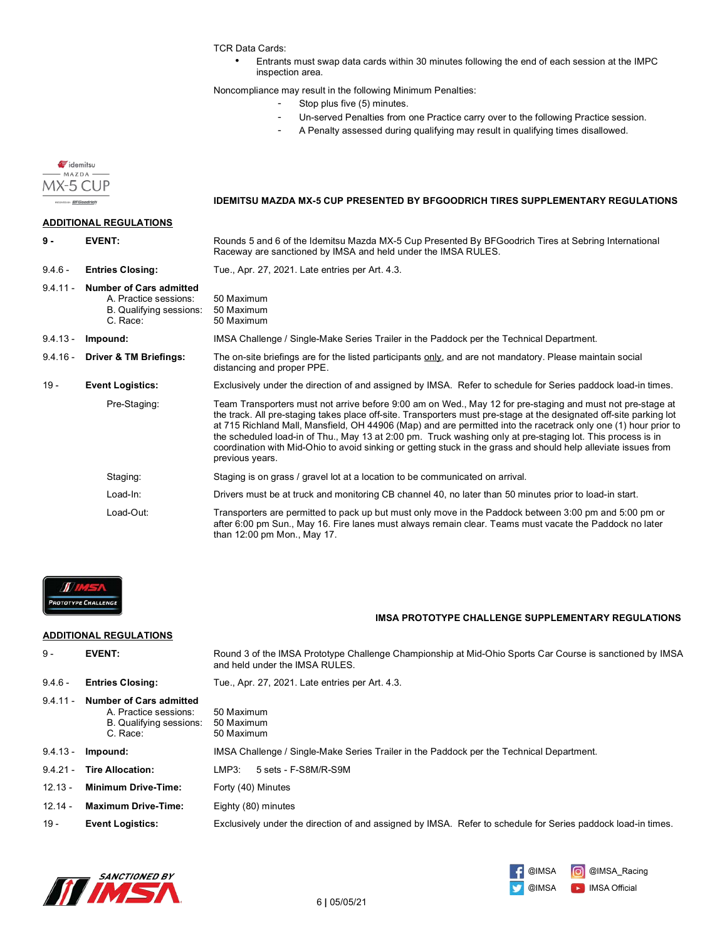TCR Data Cards:

• Entrants must swap data cards within 30 minutes following the end of each session at the IMPC inspection area.

Noncompliance may result in the following Minimum Penalties:

- Stop plus five (5) minutes.
- Un-served Penalties from one Practice carry over to the following Practice session.
- A Penalty assessed during qualifying may result in qualifying times disallowed.





#### **IMSA PROTOTYPE CHALLENGE SUPPLEMENTARY REGULATIONS**

#### **ADDITIONAL REGULATIONS**

| $9 -$      | <b>EVENT:</b>                                                                           | Round 3 of the IMSA Prototype Challenge Championship at Mid-Ohio Sports Car Course is sanctioned by IMSA<br>and held under the IMSA RULES. |
|------------|-----------------------------------------------------------------------------------------|--------------------------------------------------------------------------------------------------------------------------------------------|
| $9.4.6 -$  | <b>Entries Closing:</b>                                                                 | Tue., Apr. 27, 2021. Late entries per Art. 4.3.                                                                                            |
| $9.4.11 -$ | Number of Cars admitted<br>A. Practice sessions:<br>B. Qualifying sessions:<br>C. Race: | 50 Maximum<br>50 Maximum<br>50 Maximum                                                                                                     |
| $9.4.13 -$ | Impound:                                                                                | IMSA Challenge / Single-Make Series Trailer in the Paddock per the Technical Department.                                                   |
| $9.4.21 -$ | <b>Tire Allocation:</b>                                                                 | LMP3:<br>5 sets - F-S8M/R-S9M                                                                                                              |
| $12.13 -$  | <b>Minimum Drive-Time:</b>                                                              | Forty (40) Minutes                                                                                                                         |
| $12.14 -$  | <b>Maximum Drive-Time:</b>                                                              | Eighty (80) minutes                                                                                                                        |
| $19 -$     | <b>Event Logistics:</b>                                                                 | Exclusively under the direction of and assigned by IMSA. Refer to schedule for Series paddock load-in times.                               |
|            |                                                                                         |                                                                                                                                            |



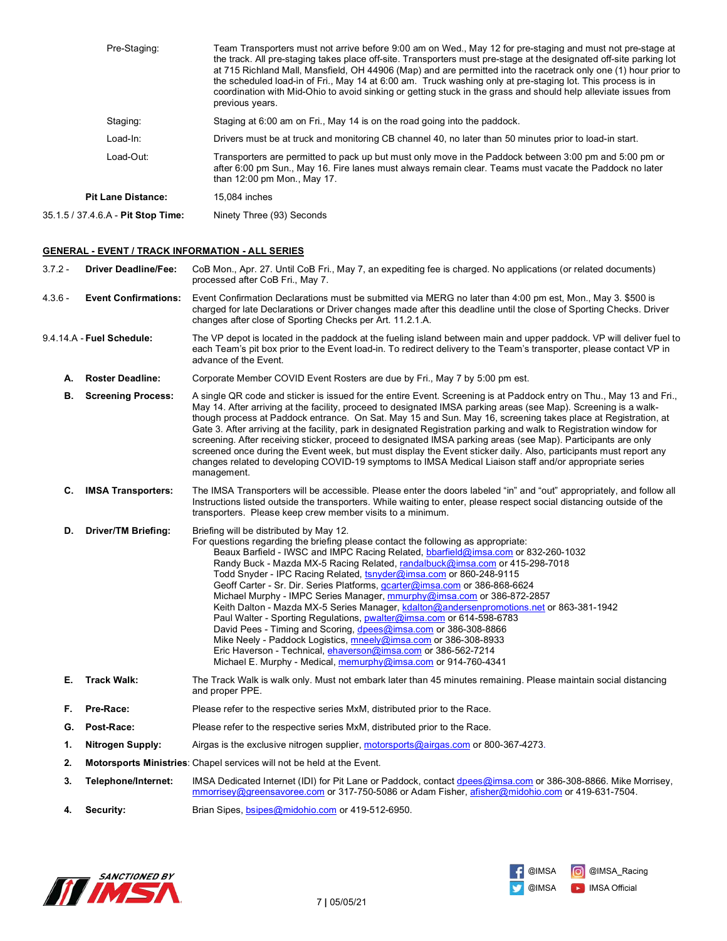| Pre-Staging:                       | Team Transporters must not arrive before 9:00 am on Wed., May 12 for pre-staging and must not pre-stage at<br>the track. All pre-staging takes place off-site. Transporters must pre-stage at the designated off-site parking lot<br>at 715 Richland Mall, Mansfield, OH 44906 (Map) and are permitted into the racetrack only one (1) hour prior to<br>the scheduled load-in of Fri., May 14 at 6:00 am. Truck washing only at pre-staging lot. This process is in<br>coordination with Mid-Ohio to avoid sinking or getting stuck in the grass and should help alleviate issues from<br>previous years. |
|------------------------------------|-----------------------------------------------------------------------------------------------------------------------------------------------------------------------------------------------------------------------------------------------------------------------------------------------------------------------------------------------------------------------------------------------------------------------------------------------------------------------------------------------------------------------------------------------------------------------------------------------------------|
| Staging:                           | Staging at 6:00 am on Fri., May 14 is on the road going into the paddock.                                                                                                                                                                                                                                                                                                                                                                                                                                                                                                                                 |
| Load-In:                           | Drivers must be at truck and monitoring CB channel 40, no later than 50 minutes prior to load-in start.                                                                                                                                                                                                                                                                                                                                                                                                                                                                                                   |
| Load-Out:                          | Transporters are permitted to pack up but must only move in the Paddock between 3:00 pm and 5:00 pm or<br>after 6:00 pm Sun., May 16. Fire lanes must always remain clear. Teams must vacate the Paddock no later<br>than 12:00 pm Mon., May 17.                                                                                                                                                                                                                                                                                                                                                          |
| <b>Pit Lane Distance:</b>          | 15,084 inches                                                                                                                                                                                                                                                                                                                                                                                                                                                                                                                                                                                             |
| 35.1.5 / 37.4.6.A - Pit Stop Time: | Ninety Three (93) Seconds                                                                                                                                                                                                                                                                                                                                                                                                                                                                                                                                                                                 |

#### **GENERAL - EVENT / TRACK INFORMATION - ALL SERIES**

3.7.2 - **Driver Deadline/Fee:** CoB Mon., Apr. 27. Until CoB Fri., May 7, an expediting fee is charged. No applications (or related documents) processed after CoB Fri., May 7.

4.3.6 - **Event Confirmations:** Event Confirmation Declarations must be submitted via MERG no later than 4:00 pm est, Mon., May 3. \$500 is charged for late Declarations or Driver changes made after this deadline until the close of Sporting Checks. Driver changes after close of Sporting Checks per Art. 11.2.1.A.

9.4.14.A - **Fuel Schedule:** The VP depot is located in the paddock at the fueling island between main and upper paddock. VP will deliver fuel to each Team's pit box prior to the Event load-in. To redirect delivery to the Team's transporter, please contact VP in advance of the Event.

**A. Roster Deadline:** Corporate Member COVID Event Rosters are due by Fri., May 7 by 5:00 pm est.

**B. Screening Process:** A single QR code and sticker is issued for the entire Event. Screening is at Paddock entry on Thu., May 13 and Fri., May 14. After arriving at the facility, proceed to designated IMSA parking areas (see Map). Screening is a walkthough process at Paddock entrance. On Sat. May 15 and Sun. May 16, screening takes place at Registration, at Gate 3. After arriving at the facility, park in designated Registration parking and walk to Registration window for screening. After receiving sticker, proceed to designated IMSA parking areas (see Map). Participants are only screened once during the Event week, but must display the Event sticker daily. Also, participants must report any changes related to developing COVID-19 symptoms to IMSA Medical Liaison staff and/or appropriate series management.

**C. IMSA Transporters:** The IMSA Transporters will be accessible. Please enter the doors labeled "in" and "out" appropriately, and follow all Instructions listed outside the transporters. While waiting to enter, please respect social distancing outside of the transporters. Please keep crew member visits to a minimum.

**D. Driver/TM Briefing:** Briefing will be distributed by May 12.

|    |             | For questions regarding the briefing please contact the following as appropriate:                                                  |
|----|-------------|------------------------------------------------------------------------------------------------------------------------------------|
|    |             | Beaux Barfield - IWSC and IMPC Racing Related, bbarfield@imsa.com or 832-260-1032                                                  |
|    |             | Randy Buck - Mazda MX-5 Racing Related, randalbuck@imsa.com or 415-298-7018                                                        |
|    |             | Todd Snyder - IPC Racing Related, tsnyder@imsa.com or 860-248-9115                                                                 |
|    |             | Geoff Carter - Sr. Dir. Series Platforms, gcarter@imsa.com or 386-868-6624                                                         |
|    |             | Michael Murphy - IMPC Series Manager, mmurphy@imsa.com or 386-872-2857                                                             |
|    |             | Keith Dalton - Mazda MX-5 Series Manager, kdalton@andersenpromotions.net or 863-381-1942                                           |
|    |             | Paul Walter - Sporting Regulations, <b>pwalter@imsa.com</b> or 614-598-6783                                                        |
|    |             | David Pees - Timing and Scoring, dpees@imsa.com or 386-308-8866                                                                    |
|    |             | Mike Neely - Paddock Logistics, $m$ neely@imsa.com or 386-308-8933                                                                 |
|    |             | Eric Haverson - Technical, ehaverson@imsa.com or 386-562-7214                                                                      |
|    |             | Michael E. Murphy - Medical, memurphy@imsa.com or 914-760-4341                                                                     |
| Е. | Track Walk: | The Track Walk is walk only. Must not embark later than 45 minutes remaining. Please maintain social distancing<br>and proper PPE. |

#### **F. Pre-Race:** Please refer to the respective series MxM, distributed prior to the Race.

- **G. Post-Race:** Please refer to the respective series MxM, distributed prior to the Race.
- **1. Nitrogen Supply:** Airgas is the exclusive nitrogen supplier, motorsports@airgas.com or 800-367-4273.
- **2. Motorsports Ministries**: Chapel services will not be held at the Event.
- **3. Telephone/Internet:** IMSA Dedicated Internet (IDI) for Pit Lane or Paddock, contact dpees@imsa.com or 386-308-8866. Mike Morrisey, mmorrisey@greensavoree.com or 317-750-5086 or Adam Fisher, afisher@midohio.com or 419-631-7504.
- **4. Security:** Brian Sipes, bsipes@midohio.com or 419-512-6950.



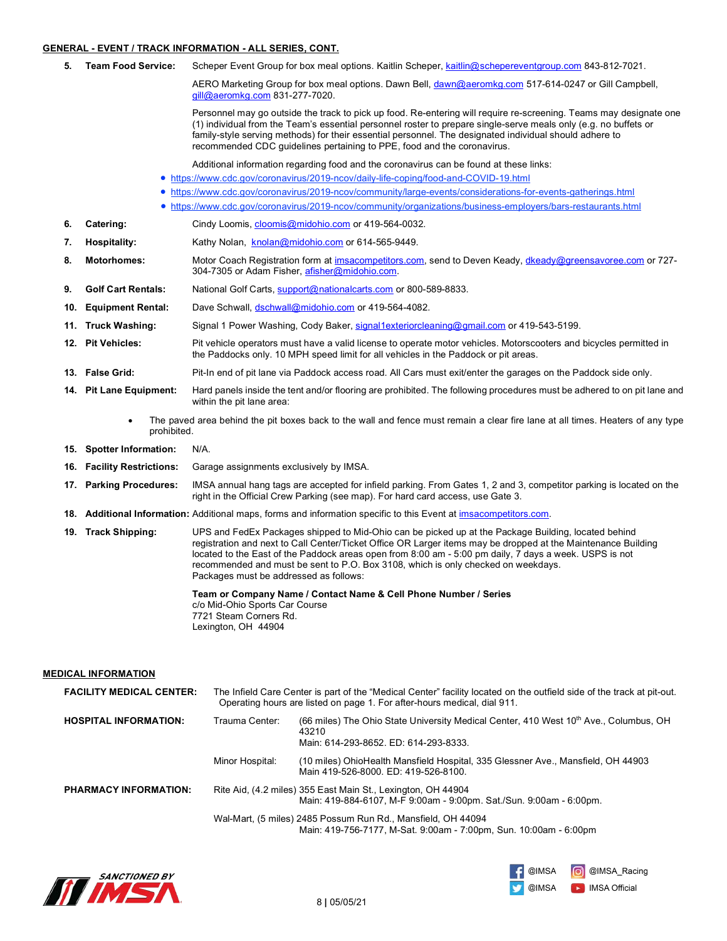#### **GENERAL - EVENT / TRACK INFORMATION - ALL SERIES, CONT.**

**5. Team Food Service:** Scheper Event Group for box meal options. Kaitlin Scheper, kaitlin@schepereventgroup.com 843-812-7021.

AERO Marketing Group for box meal options. Dawn Bell, dawn@aeromkg.com 517-614-0247 or Gill Campbell, gill@aeromkg.com 831-277-7020.

Personnel may go outside the track to pick up food. Re-entering will require re-screening. Teams may designate one (1) individual from the Team's essential personnel roster to prepare single-serve meals only (e.g. no buffets or family-style serving methods) for their essential personnel. The designated individual should adhere to recommended CDC guidelines pertaining to PPE, food and the coronavirus.

Additional information regarding food and the coronavirus can be found at these links:

- https://www.cdc.gov/coronavirus/2019-ncov/daily-life-coping/food-and-COVID-19.html
- https://www.cdc.gov/coronavirus/2019-ncov/community/large-events/considerations-for-events-gatherings.html
- https://www.cdc.gov/coronavirus/2019-ncov/community/organizations/business-employers/bars-restaurants.html
- **6. Catering:** Cindy Loomis, cloomis@midohio.com or 419-564-0032.
- 7. **Hospitality:** Kathy Nolan, knolan@midohio.com</u> or 614-565-9449.
- **8. Motorhomes:** Motor Coach Registration form at imsacompetitors.com, send to Deven Keady, dkeady@greensavoree.com or 727- 304-7305 or Adam Fisher, afisher@midohio.com.
- **9. Golf Cart Rentals:** National Golf Carts, support@nationalcarts.com or 800-589-8833.
- **10. Equipment Rental:** Dave Schwall, dschwall@midohio.com or 419-564-4082.
- **11. Truck Washing:** Signal 1 Power Washing, Cody Baker, signal1exteriorcleaning@gmail.com or 419-543-5199.
- **12. Pit Vehicles:** Pit vehicle operators must have a valid license to operate motor vehicles. Motorscooters and bicycles permitted in the Paddocks only. 10 MPH speed limit for all vehicles in the Paddock or pit areas.
- **13. False Grid:** Pit-In end of pit lane via Paddock access road. All Cars must exit/enter the garages on the Paddock side only.
- **14. Pit Lane Equipment:** Hard panels inside the tent and/or flooring are prohibited. The following procedures must be adhered to on pit lane and within the pit lane area:
	- The paved area behind the pit boxes back to the wall and fence must remain a clear fire lane at all times. Heaters of any type prohibited.
- **15. Spotter Information:** N/A.
- **16. Facility Restrictions:** Garage assignments exclusively by IMSA.
- **17. Parking Procedures:** IMSA annual hang tags are accepted for infield parking. From Gates 1, 2 and 3, competitor parking is located on the right in the Official Crew Parking (see map). For hard card access, use Gate 3.
- **18. Additional Information:** Additional maps, forms and information specific to this Event at imsacompetitors.com.
- **19. Track Shipping:** UPS and FedEx Packages shipped to Mid-Ohio can be picked up at the Package Building, located behind registration and next to Call Center/Ticket Office OR Larger items may be dropped at the Maintenance Building located to the East of the Paddock areas open from 8:00 am - 5:00 pm daily, 7 days a week. USPS is not recommended and must be sent to P.O. Box 3108, which is only checked on weekdays. Packages must be addressed as follows:

**Team or Company Name / Contact Name & Cell Phone Number / Series** c/o Mid-Ohio Sports Car Course 7721 Steam Corners Rd. Lexington, OH 44904

**MEDICAL INFORMATION**

| <b>FACILITY MEDICAL CENTER:</b> |                 | The Infield Care Center is part of the "Medical Center" facility located on the outfield side of the track at pit-out.<br>Operating hours are listed on page 1. For after-hours medical, dial 911. |
|---------------------------------|-----------------|----------------------------------------------------------------------------------------------------------------------------------------------------------------------------------------------------|
| <b>HOSPITAL INFORMATION:</b>    | Trauma Center:  | (66 miles) The Ohio State University Medical Center, 410 West 10 <sup>th</sup> Ave., Columbus, OH<br>43210<br>Main: 614-293-8652. ED: 614-293-8333.                                                |
|                                 | Minor Hospital: | (10 miles) OhioHealth Mansfield Hospital, 335 Glessner Ave., Mansfield, OH 44903<br>Main 419-526-8000, ED: 419-526-8100.                                                                           |
| <b>PHARMACY INFORMATION:</b>    |                 | Rite Aid, (4.2 miles) 355 East Main St., Lexington, OH 44904<br>Main: 419-884-6107, M-F 9:00am - 9:00pm. Sat./Sun. 9:00am - 6:00pm.                                                                |
|                                 |                 | Wal-Mart, (5 miles) 2485 Possum Run Rd., Mansfield, OH 44094<br>Main: 419-756-7177, M-Sat. 9:00am - 7:00pm, Sun. 10:00am - 6:00pm                                                                  |



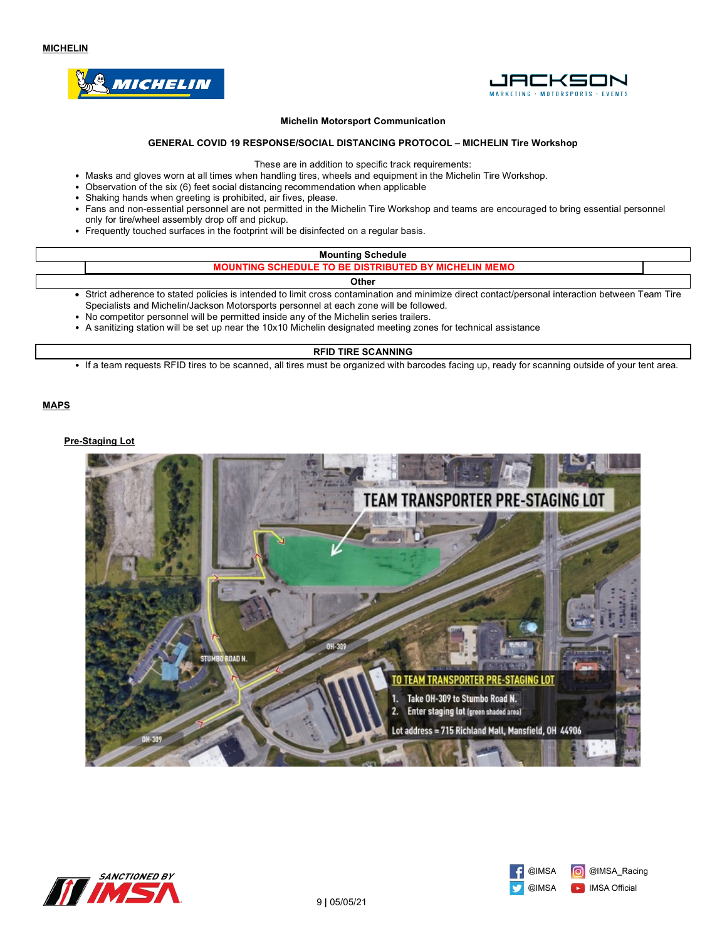



#### **Michelin Motorsport Communication**

## **GENERAL COVID 19 RESPONSE/SOCIAL DISTANCING PROTOCOL – MICHELIN Tire Workshop**

These are in addition to specific track requirements:

- Masks and gloves worn at all times when handling tires, wheels and equipment in the Michelin Tire Workshop.
- Observation of the six (6) feet social distancing recommendation when applicable
- Shaking hands when greeting is prohibited, air fives, please.
- Fans and non-essential personnel are not permitted in the Michelin Tire Workshop and teams are encouraged to bring essential personnel only for tire/wheel assembly drop off and pickup.
- Frequently touched surfaces in the footprint will be disinfected on a regular basis.

| <b>Mounting Schedule</b>                                                                                                                                                                                                                                                                                                                                                              |  |  |
|---------------------------------------------------------------------------------------------------------------------------------------------------------------------------------------------------------------------------------------------------------------------------------------------------------------------------------------------------------------------------------------|--|--|
| <b>MOUNTING SCHEDULE TO BE DISTRIBUTED BY MICHELIN MEMO</b>                                                                                                                                                                                                                                                                                                                           |  |  |
| <b>Other</b>                                                                                                                                                                                                                                                                                                                                                                          |  |  |
| Strict adherence to stated policies is intended to limit cross contamination and minimize direct contact/personal interaction between Team Tire<br>$\bigcap_{i=1}^n$ . The second interest in the second contract of the second contract of the second second contract of the second second second second second second second second second second second second second second secon |  |  |

- Specialists and Michelin/Jackson Motorsports personnel at each zone will be followed. • No competitor personnel will be permitted inside any of the Michelin series trailers.
- A sanitizing station will be set up near the 10x10 Michelin designated meeting zones for technical assistance

#### **RFID TIRE SCANNING**

• If a team requests RFID tires to be scanned, all tires must be organized with barcodes facing up, ready for scanning outside of your tent area.

**MAPS**

#### **Pre-Staging Lot**





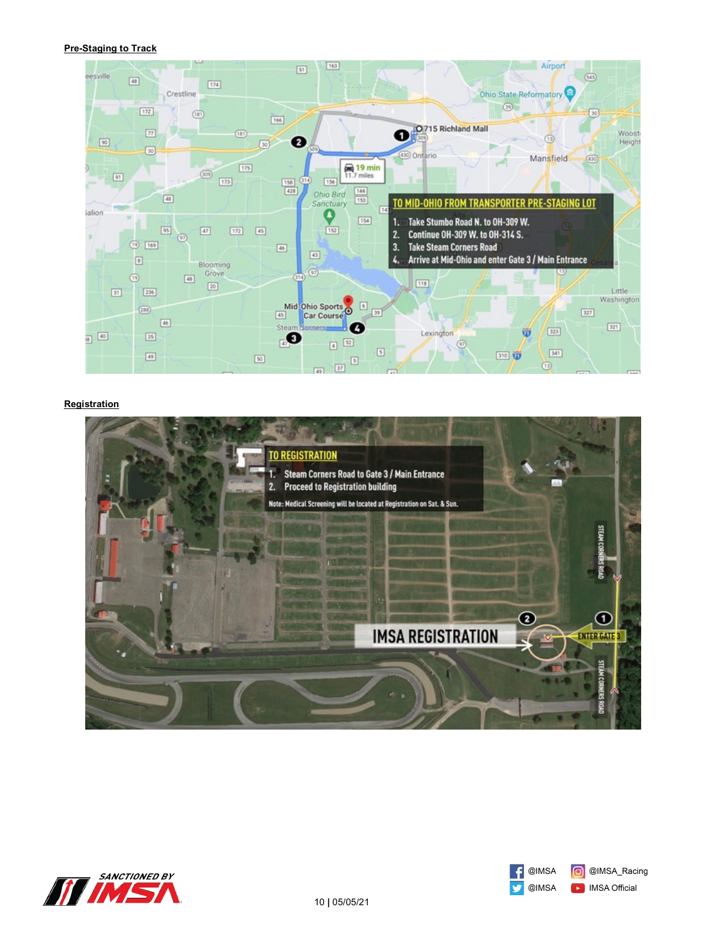## **Pre-Staging to Track**



## **Registration**





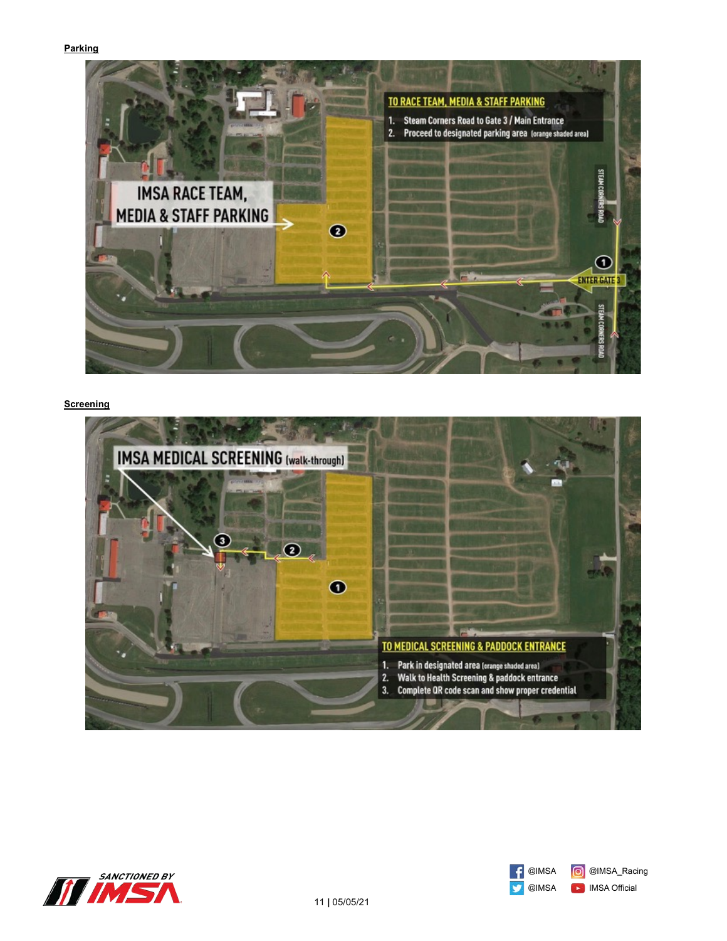## **Parking**



## **Screening**





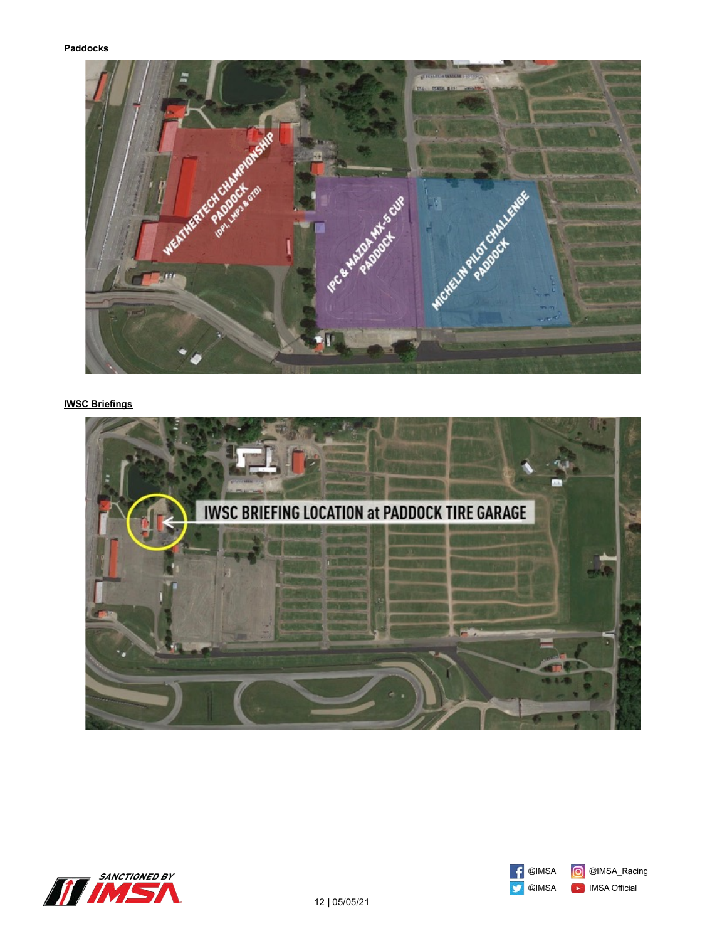## **Paddocks**



# **IWSC Briefings**